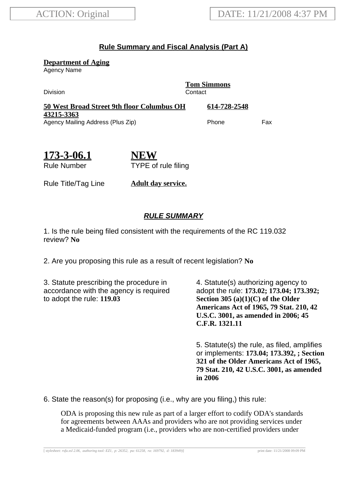## **Rule Summary and Fiscal Analysis (Part A)**

**Department of Aging**

Agency Name

Division Contact

**Tom Simmons**

| 50 West Broad Street 9th floor Columbus OH | 614-728-2548 |     |
|--------------------------------------------|--------------|-----|
| 43215-3363                                 |              |     |
| Agency Mailing Address (Plus Zip)          | Phone        | Fax |

| 173-3-06.1         |  |
|--------------------|--|
| <b>Rule Number</b> |  |

**NEW** TYPE of rule filing

Rule Title/Tag Line **Adult day service.**

## **RULE SUMMARY**

1. Is the rule being filed consistent with the requirements of the RC 119.032 review? **No**

2. Are you proposing this rule as a result of recent legislation? **No**

3. Statute prescribing the procedure in accordance with the agency is required to adopt the rule: **119.03**

4. Statute(s) authorizing agency to adopt the rule: **173.02; 173.04; 173.392; Section 305 (a)(1)(C) of the Older Americans Act of 1965, 79 Stat. 210, 42 U.S.C. 3001, as amended in 2006; 45 C.F.R. 1321.11**

5. Statute(s) the rule, as filed, amplifies or implements: **173.04; 173.392, ; Section 321 of the Older Americans Act of 1965, 79 Stat. 210, 42 U.S.C. 3001, as amended in 2006**

6. State the reason(s) for proposing (i.e., why are you filing,) this rule:

ODA is proposing this new rule as part of a larger effort to codify ODA's standards for agreements between AAAs and providers who are not providing services under a Medicaid-funded program (i.e., providers who are non-certified providers under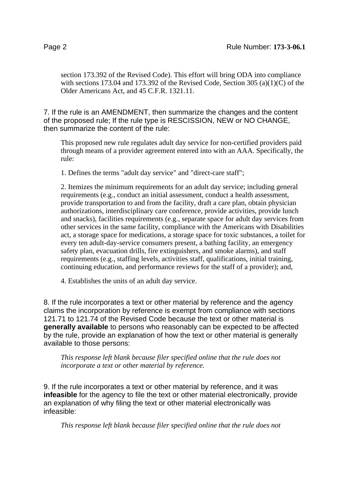section 173.392 of the Revised Code). This effort will bring ODA into compliance with sections 173.04 and 173.392 of the Revised Code, Section 305 (a)(1)(C) of the Older Americans Act, and 45 C.F.R. 1321.11.

7. If the rule is an AMENDMENT, then summarize the changes and the content of the proposed rule; If the rule type is RESCISSION, NEW or NO CHANGE, then summarize the content of the rule:

This proposed new rule regulates adult day service for non-certified providers paid through means of a provider agreement entered into with an AAA. Specifically, the rule:

1. Defines the terms "adult day service" and "direct-care staff";

2. Itemizes the minimum requirements for an adult day service; including general requirements (e.g., conduct an initial assessment, conduct a health assessment, provide transportation to and from the facility, draft a care plan, obtain physician authorizations, interdisciplinary care conference, provide activities, provide lunch and snacks), facilities requirements (e.g., separate space for adult day services from other services in the same facility, compliance with the Americans with Disabilities act, a storage space for medications, a storage space for toxic substances, a toilet for every ten adult-day-service consumers present, a bathing facility, an emergency safety plan, evacuation drills, fire extinguishers, and smoke alarms), and staff requirements (e.g., staffing levels, activities staff, qualifications, initial training, continuing education, and performance reviews for the staff of a provider); and,

4. Establishes the units of an adult day service.

8. If the rule incorporates a text or other material by reference and the agency claims the incorporation by reference is exempt from compliance with sections 121.71 to 121.74 of the Revised Code because the text or other material is **generally available** to persons who reasonably can be expected to be affected by the rule, provide an explanation of how the text or other material is generally available to those persons:

*This response left blank because filer specified online that the rule does not incorporate a text or other material by reference.*

9. If the rule incorporates a text or other material by reference, and it was **infeasible** for the agency to file the text or other material electronically, provide an explanation of why filing the text or other material electronically was infeasible:

*This response left blank because filer specified online that the rule does not*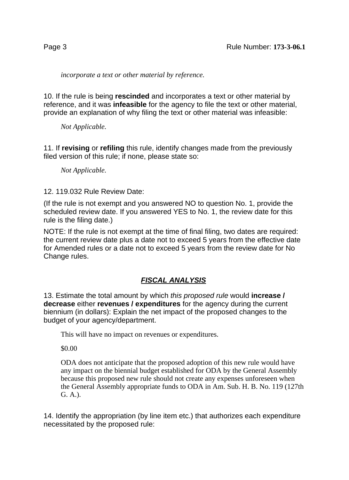*incorporate a text or other material by reference.*

10. If the rule is being **rescinded** and incorporates a text or other material by reference, and it was **infeasible** for the agency to file the text or other material, provide an explanation of why filing the text or other material was infeasible:

*Not Applicable.*

11. If **revising** or **refiling** this rule, identify changes made from the previously filed version of this rule; if none, please state so:

*Not Applicable.*

12. 119.032 Rule Review Date:

(If the rule is not exempt and you answered NO to question No. 1, provide the scheduled review date. If you answered YES to No. 1, the review date for this rule is the filing date.)

NOTE: If the rule is not exempt at the time of final filing, two dates are required: the current review date plus a date not to exceed 5 years from the effective date for Amended rules or a date not to exceed 5 years from the review date for No Change rules.

## **FISCAL ANALYSIS**

13. Estimate the total amount by which this proposed rule would **increase / decrease** either **revenues / expenditures** for the agency during the current biennium (in dollars): Explain the net impact of the proposed changes to the budget of your agency/department.

This will have no impact on revenues or expenditures.

\$0.00

ODA does not anticipate that the proposed adoption of this new rule would have any impact on the biennial budget established for ODA by the General Assembly because this proposed new rule should not create any expenses unforeseen when the General Assembly appropriate funds to ODA in Am. Sub. H. B. No. 119 (127th G. A.).

14. Identify the appropriation (by line item etc.) that authorizes each expenditure necessitated by the proposed rule: